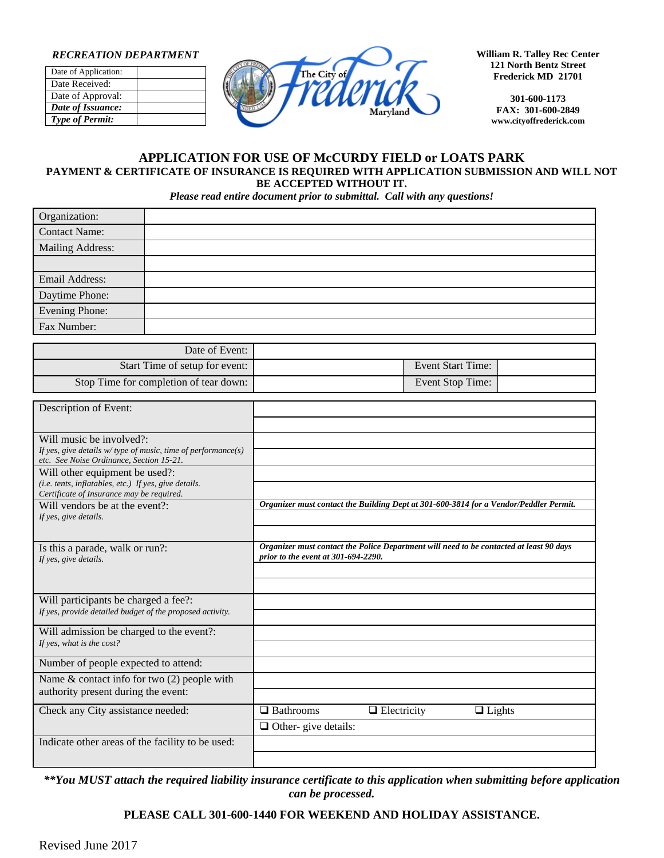#### *RECREATION DEPARTMENT*

| Date of Application:   |  |
|------------------------|--|
| Date Received:         |  |
| Date of Approval:      |  |
| Date of Issuance:      |  |
| <b>Type of Permit:</b> |  |



**William R. Talley Rec Center 121 North Bentz Street Frederick MD 21701**

> **301-600-1173 FAX: 301-600-2849 www.cityoffrederick.com**

#### **APPLICATION FOR USE OF McCURDY FIELD or LOATS PARK PAYMENT & CERTIFICATE OF INSURANCE IS REQUIRED WITH APPLICATION SUBMISSION AND WILL NOT BE ACCEPTED WITHOUT IT.**

*Please read entire document prior to submittal. Call with any questions!*

| Organization:    |  |
|------------------|--|
| Contact Name:    |  |
| Mailing Address: |  |
|                  |  |
| Email Address:   |  |
| Daytime Phone:   |  |
| Evening Phone:   |  |
| Fax Number:      |  |

|                   | Date of Event:                         |
|-------------------|----------------------------------------|
| Event Start Time: | Start Time of setup for event:         |
| Event Stop Time:  | Stop Time for completion of tear down: |

| Description of Event:                                                                                        |                                                                                                                                |
|--------------------------------------------------------------------------------------------------------------|--------------------------------------------------------------------------------------------------------------------------------|
|                                                                                                              |                                                                                                                                |
| Will music be involved?:                                                                                     |                                                                                                                                |
| If yes, give details $w$ / type of music, time of performance(s)<br>etc. See Noise Ordinance. Section 15-21. |                                                                                                                                |
| Will other equipment be used?:                                                                               |                                                                                                                                |
| (i.e. tents, inflatables, etc.) If yes, give details.<br>Certificate of Insurance may be required.           |                                                                                                                                |
| Will vendors be at the event?:                                                                               | Organizer must contact the Building Dept at 301-600-3814 for a Vendor/Peddler Permit.                                          |
| If yes, give details.                                                                                        |                                                                                                                                |
|                                                                                                              |                                                                                                                                |
| Is this a parade, walk or run?:                                                                              | Organizer must contact the Police Department will need to be contacted at least 90 days<br>prior to the event at 301-694-2290. |
| If yes, give details.                                                                                        |                                                                                                                                |
|                                                                                                              |                                                                                                                                |
| Will participants be charged a fee?:                                                                         |                                                                                                                                |
| If yes, provide detailed budget of the proposed activity.                                                    |                                                                                                                                |
| Will admission be charged to the event?:                                                                     |                                                                                                                                |
| If yes, what is the cost?                                                                                    |                                                                                                                                |
| Number of people expected to attend:                                                                         |                                                                                                                                |
| Name $&$ contact info for two $(2)$ people with                                                              |                                                                                                                                |
| authority present during the event:                                                                          |                                                                                                                                |
| Check any City assistance needed:                                                                            | $\Box$ Bathrooms<br>$\Box$ Electricity<br>$\Box$ Lights                                                                        |
|                                                                                                              | $\Box$ Other-give details:                                                                                                     |
| Indicate other areas of the facility to be used:                                                             |                                                                                                                                |
|                                                                                                              |                                                                                                                                |

*\*\*You MUST attach the required liability insurance certificate to this application when submitting before application can be processed.*

### **PLEASE CALL 301-600-1440 FOR WEEKEND AND HOLIDAY ASSISTANCE.**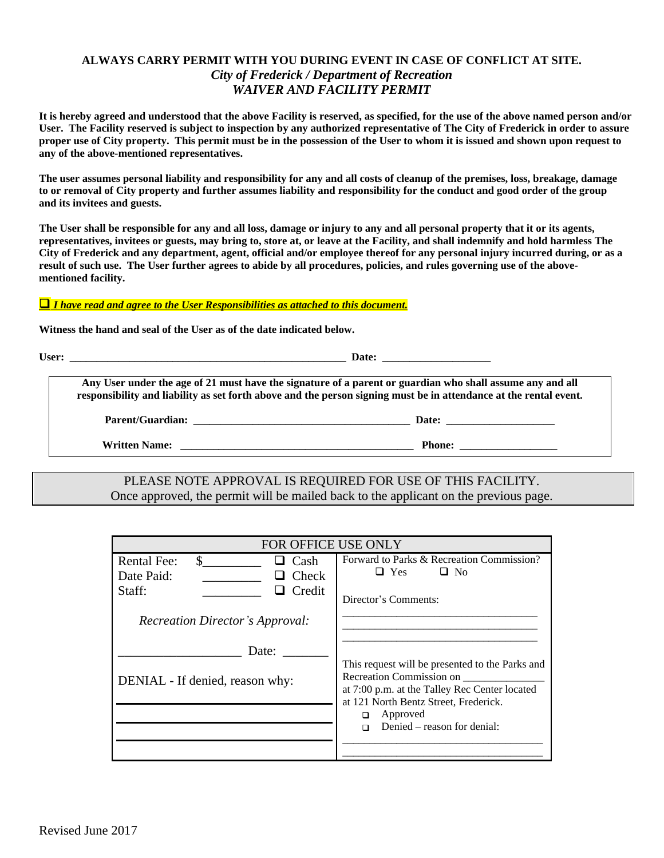## **ALWAYS CARRY PERMIT WITH YOU DURING EVENT IN CASE OF CONFLICT AT SITE.** *City of Frederick / Department of Recreation WAIVER AND FACILITY PERMIT*

**It is hereby agreed and understood that the above Facility is reserved, as specified, for the use of the above named person and/or User. The Facility reserved is subject to inspection by any authorized representative of The City of Frederick in order to assure proper use of City property. This permit must be in the possession of the User to whom it is issued and shown upon request to any of the above-mentioned representatives.**

**The user assumes personal liability and responsibility for any and all costs of cleanup of the premises, loss, breakage, damage to or removal of City property and further assumes liability and responsibility for the conduct and good order of the group and its invitees and guests.**

**The User shall be responsible for any and all loss, damage or injury to any and all personal property that it or its agents, representatives, invitees or guests, may bring to, store at, or leave at the Facility, and shall indemnify and hold harmless The City of Frederick and any department, agent, official and/or employee thereof for any personal injury incurred during, or as a result of such use. The User further agrees to abide by all procedures, policies, and rules governing use of the abovementioned facility.**

#### *I have read and agree to the User Responsibilities as attached to this document.*

**Witness the hand and seal of the User as of the date indicated below.**

**User: \_\_\_\_\_\_\_\_\_\_\_\_\_\_\_\_\_\_\_\_\_\_\_\_\_\_\_\_\_\_\_\_\_\_\_\_\_\_\_\_\_\_\_\_\_\_\_\_\_\_\_ Date: \_\_\_\_\_\_\_\_\_\_\_\_\_\_\_\_\_\_\_\_**

**Any User under the age of 21 must have the signature of a parent or guardian who shall assume any and all responsibility and liability as set forth above and the person signing must be in attendance at the rental event.**

**Parent/Guardian: \_\_\_\_\_\_\_\_\_\_\_\_\_\_\_\_\_\_\_\_\_\_\_\_\_\_\_\_\_\_\_\_\_\_\_\_\_\_\_\_ Date: \_\_\_\_\_\_\_\_\_\_\_\_\_\_\_\_\_\_\_\_**

**Written Name: \_\_\_\_\_\_\_\_\_\_\_\_\_\_\_\_\_\_\_\_\_\_\_\_\_\_\_\_\_\_\_\_\_\_\_\_\_\_\_\_\_\_\_ Phone: \_\_\_\_\_\_\_\_\_\_\_\_\_\_\_\_\_\_**

## PLEASE NOTE APPROVAL IS REQUIRED FOR USE OF THIS FACILITY. Once approved, the permit will be mailed back to the applicant on the previous page.

| FOR OFFICE USE ONLY                                                                              |                                                                                                                                                                                                                       |  |  |
|--------------------------------------------------------------------------------------------------|-----------------------------------------------------------------------------------------------------------------------------------------------------------------------------------------------------------------------|--|--|
| <b>Rental Fee:</b><br>S.<br>$\Box$ Cash<br>$\Box$ Check<br>Date Paid:<br>$\Box$ Credit<br>Staff: | Forward to Parks & Recreation Commission?<br>$\Box$ Yes<br>$\Box$ No<br>Director's Comments:                                                                                                                          |  |  |
| <b>Recreation Director's Approval:</b><br>Date:<br>DENIAL - If denied, reason why:               | This request will be presented to the Parks and<br>Recreation Commission on<br>at 7:00 p.m. at the Talley Rec Center located<br>at 121 North Bentz Street, Frederick.<br>Approved<br>◻<br>Denied – reason for denial: |  |  |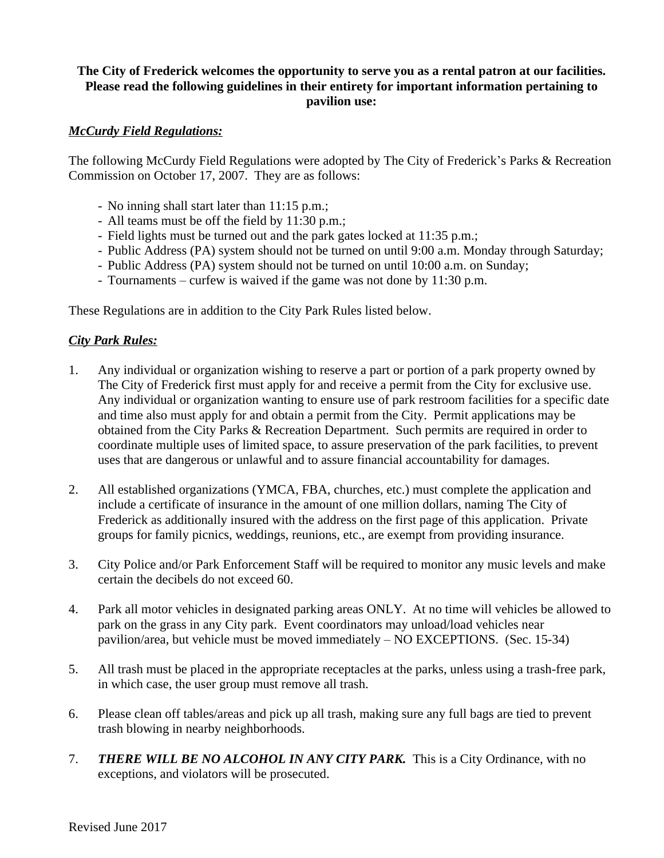# **The City of Frederick welcomes the opportunity to serve you as a rental patron at our facilities. Please read the following guidelines in their entirety for important information pertaining to pavilion use:**

## *McCurdy Field Regulations:*

The following McCurdy Field Regulations were adopted by The City of Frederick's Parks & Recreation Commission on October 17, 2007. They are as follows:

- No inning shall start later than 11:15 p.m.;
- All teams must be off the field by 11:30 p.m.;
- Field lights must be turned out and the park gates locked at 11:35 p.m.;
- Public Address (PA) system should not be turned on until 9:00 a.m. Monday through Saturday;
- Public Address (PA) system should not be turned on until 10:00 a.m. on Sunday;
- Tournaments curfew is waived if the game was not done by 11:30 p.m.

These Regulations are in addition to the City Park Rules listed below.

### *City Park Rules:*

- 1. Any individual or organization wishing to reserve a part or portion of a park property owned by The City of Frederick first must apply for and receive a permit from the City for exclusive use. Any individual or organization wanting to ensure use of park restroom facilities for a specific date and time also must apply for and obtain a permit from the City. Permit applications may be obtained from the City Parks & Recreation Department. Such permits are required in order to coordinate multiple uses of limited space, to assure preservation of the park facilities, to prevent uses that are dangerous or unlawful and to assure financial accountability for damages.
- 2. All established organizations (YMCA, FBA, churches, etc.) must complete the application and include a certificate of insurance in the amount of one million dollars, naming The City of Frederick as additionally insured with the address on the first page of this application. Private groups for family picnics, weddings, reunions, etc., are exempt from providing insurance.
- 3. City Police and/or Park Enforcement Staff will be required to monitor any music levels and make certain the decibels do not exceed 60.
- 4. Park all motor vehicles in designated parking areas ONLY. At no time will vehicles be allowed to park on the grass in any City park. Event coordinators may unload/load vehicles near pavilion/area, but vehicle must be moved immediately – NO EXCEPTIONS. (Sec. 15-34)
- 5. All trash must be placed in the appropriate receptacles at the parks, unless using a trash-free park, in which case, the user group must remove all trash.
- 6. Please clean off tables/areas and pick up all trash, making sure any full bags are tied to prevent trash blowing in nearby neighborhoods.
- 7. *THERE WILL BE NO ALCOHOL IN ANY CITY PARK.* This is a City Ordinance, with no exceptions, and violators will be prosecuted.